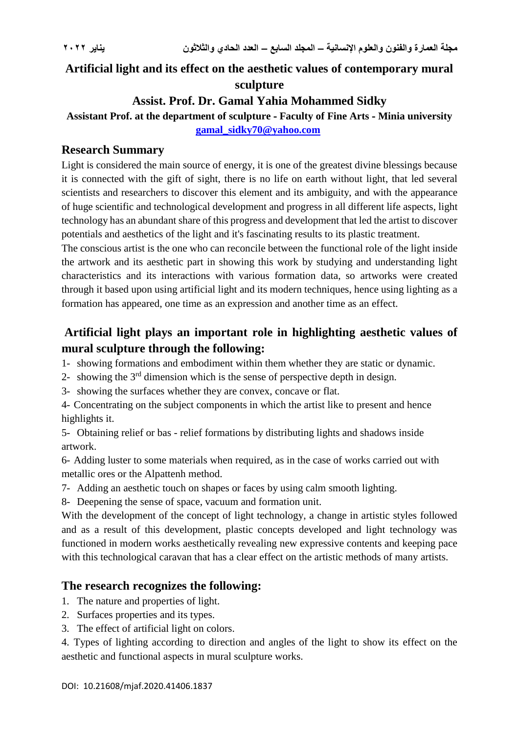# **Artificial light and its effect on the aesthetic values of contemporary mural sculpture**

## **Assist. Prof. Dr. Gamal Yahia Mohammed Sidky**

**Assistant Prof. at the department of sculpture - Faculty of Fine Arts - Minia university [gamal\\_sidky70@yahoo.com](mailto:gamal_sidky70@yahoo.com)**

#### **Research Summary**

Light is considered the main source of energy, it is one of the greatest divine blessings because it is connected with the gift of sight, there is no life on earth without light, that led several scientists and researchers to discover this element and its ambiguity, and with the appearance of huge scientific and technological development and progress in all different life aspects, light technology has an abundant share of this progress and development that led the artist to discover potentials and aesthetics of the light and it's fascinating results to its plastic treatment.

The conscious artist is the one who can reconcile between the functional role of the light inside the artwork and its aesthetic part in showing this work by studying and understanding light characteristics and its interactions with various formation data, so artworks were created through it based upon using artificial light and its modern techniques, hence using lighting as a formation has appeared, one time as an expression and another time as an effect.

# **Artificial light plays an important role in highlighting aesthetic values of mural sculpture through the following:**

1- showing formations and embodiment within them whether they are static or dynamic.

- 2- showing the  $3<sup>rd</sup>$  dimension which is the sense of perspective depth in design.
- 3- showing the surfaces whether they are convex, concave or flat.

4- Concentrating on the subject components in which the artist like to present and hence highlights it.

5- Obtaining relief or bas - relief formations by distributing lights and shadows inside artwork.

6- Adding luster to some materials when required, as in the case of works carried out with metallic ores or the Alpattenh method.

7- Adding an aesthetic touch on shapes or faces by using calm smooth lighting.

8- Deepening the sense of space, vacuum and formation unit.

With the development of the concept of light technology, a change in artistic styles followed and as a result of this development, plastic concepts developed and light technology was functioned in modern works aesthetically revealing new expressive contents and keeping pace with this technological caravan that has a clear effect on the artistic methods of many artists.

## **The research recognizes the following:**

1. The nature and properties of light.

- 2. Surfaces properties and its types.
- 3. The effect of artificial light on colors.

4. Types of lighting according to direction and angles of the light to show its effect on the aesthetic and functional aspects in mural sculpture works.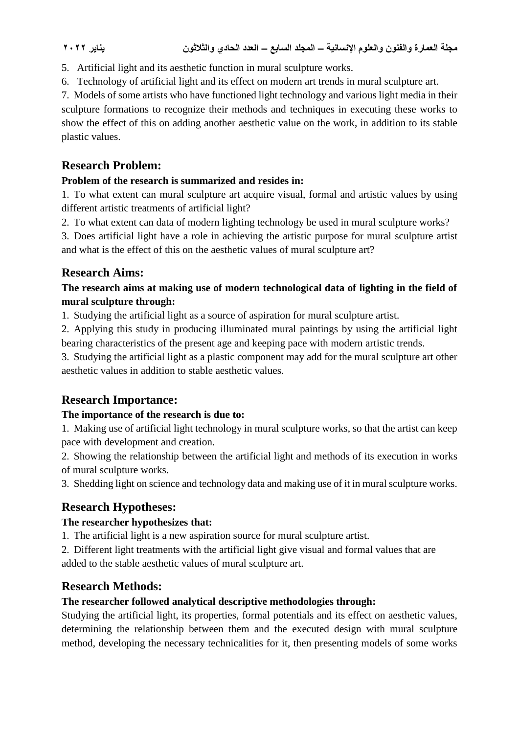5. Artificial light and its aesthetic function in mural sculpture works.

6. Technology of artificial light and its effect on modern art trends in mural sculpture art.

7. Models of some artists who have functioned light technology and various light media in their sculpture formations to recognize their methods and techniques in executing these works to show the effect of this on adding another aesthetic value on the work, in addition to its stable plastic values.

## **Research Problem:**

#### **Problem of the research is summarized and resides in:**

1. To what extent can mural sculpture art acquire visual, formal and artistic values by using different artistic treatments of artificial light?

2. To what extent can data of modern lighting technology be used in mural sculpture works?

3. Does artificial light have a role in achieving the artistic purpose for mural sculpture artist and what is the effect of this on the aesthetic values of mural sculpture art?

## **Research Aims:**

#### **The research aims at making use of modern technological data of lighting in the field of mural sculpture through:**

1. Studying the artificial light as a source of aspiration for mural sculpture artist.

2. Applying this study in producing illuminated mural paintings by using the artificial light bearing characteristics of the present age and keeping pace with modern artistic trends.

3. Studying the artificial light as a plastic component may add for the mural sculpture art other aesthetic values in addition to stable aesthetic values.

## **Research Importance:**

### **The importance of the research is due to:**

1. Making use of artificial light technology in mural sculpture works, so that the artist can keep pace with development and creation.

2. Showing the relationship between the artificial light and methods of its execution in works of mural sculpture works.

3. Shedding light on science and technology data and making use of it in muralsculpture works.

## **Research Hypotheses:**

### **The researcher hypothesizes that:**

1. The artificial light is a new aspiration source for mural sculpture artist.

2. Different light treatments with the artificial light give visual and formal values that are added to the stable aesthetic values of mural sculpture art.

## **Research Methods:**

### **The researcher followed analytical descriptive methodologies through:**

Studying the artificial light, its properties, formal potentials and its effect on aesthetic values, determining the relationship between them and the executed design with mural sculpture method, developing the necessary technicalities for it, then presenting models of some works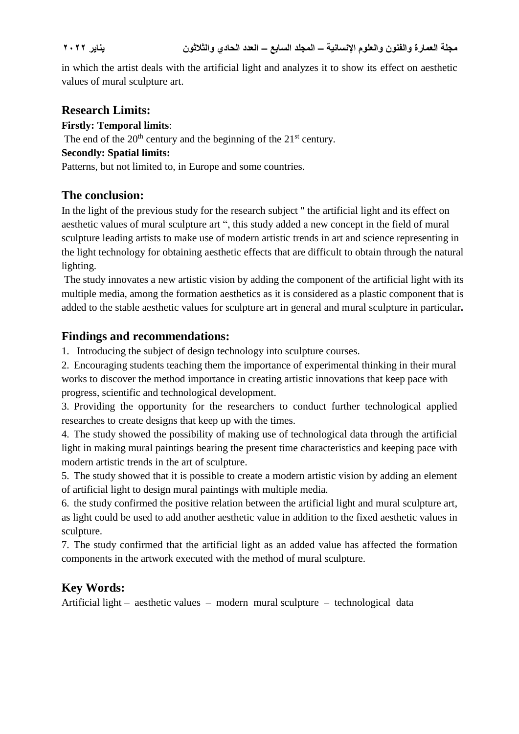in which the artist deals with the artificial light and analyzes it to show its effect on aesthetic values of mural sculpture art.

#### **Research Limits:**

**Firstly: Temporal limits**:

The end of the  $20<sup>th</sup>$  century and the beginning of the  $21<sup>st</sup>$  century.

#### **Secondly: Spatial limits:**

Patterns, but not limited to, in Europe and some countries.

### **The conclusion:**

In the light of the previous study for the research subject " the artificial light and its effect on aesthetic values of mural sculpture art ", this study added a new concept in the field of mural sculpture leading artists to make use of modern artistic trends in art and science representing in the light technology for obtaining aesthetic effects that are difficult to obtain through the natural lighting.

The study innovates a new artistic vision by adding the component of the artificial light with its multiple media, among the formation aesthetics as it is considered as a plastic component that is added to the stable aesthetic values for sculpture art in general and mural sculpture in particular**.** 

### **Findings and recommendations:**

1. Introducing the subject of design technology into sculpture courses.

2. Encouraging students teaching them the importance of experimental thinking in their mural works to discover the method importance in creating artistic innovations that keep pace with progress, scientific and technological development.

3. Providing the opportunity for the researchers to conduct further technological applied researches to create designs that keep up with the times.

4. The study showed the possibility of making use of technological data through the artificial light in making mural paintings bearing the present time characteristics and keeping pace with modern artistic trends in the art of sculpture.

5. The study showed that it is possible to create a modern artistic vision by adding an element of artificial light to design mural paintings with multiple media.

6. the study confirmed the positive relation between the artificial light and mural sculpture art, as light could be used to add another aesthetic value in addition to the fixed aesthetic values in sculpture.

7. The study confirmed that the artificial light as an added value has affected the formation components in the artwork executed with the method of mural sculpture.

### **Key Words:**

Artificial light – aesthetic values – modern mural sculpture – technological data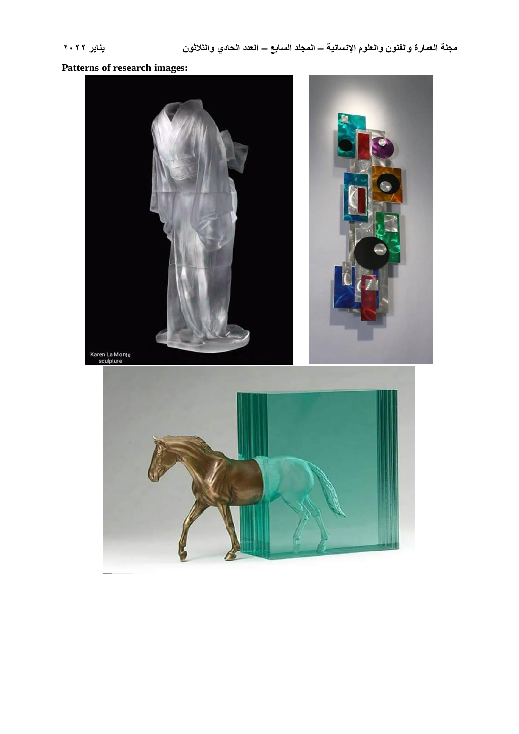#### **Patterns of research images:**

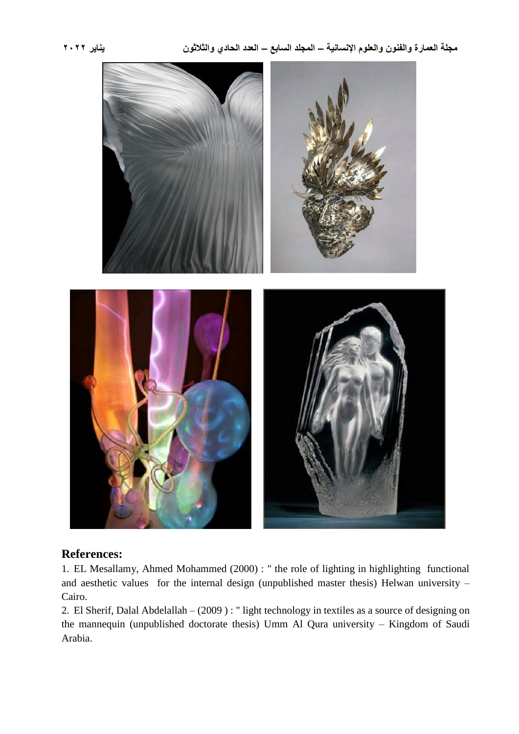



#### **References:**

1. EL Mesallamy, Ahmed Mohammed (2000) : " the role of lighting in highlighting functional and aesthetic values for the internal design (unpublished master thesis) Helwan university – Cairo.

2. El Sherif, Dalal Abdelallah – (2009 ) : " light technology in textiles as a source of designing on the mannequin (unpublished doctorate thesis) Umm Al Qura university – Kingdom of Saudi Arabia.